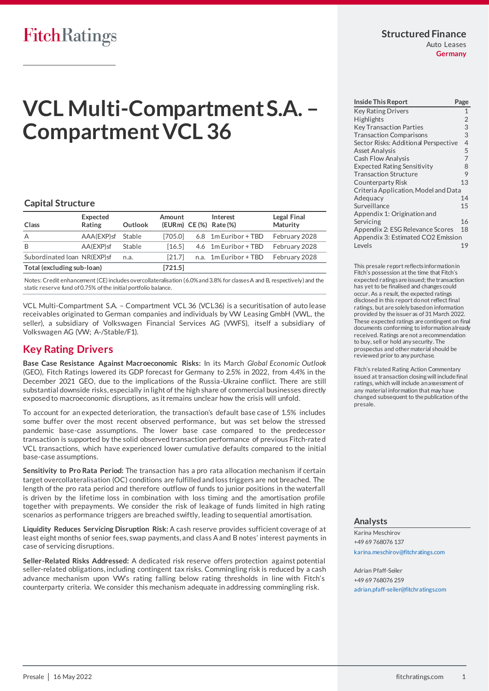## **Structured Finance**

Auto Leases **Germany**

# **VCL Multi-Compartment S.A. – Compartment VCL 36**

## **Capital Structure**

| Class                       | Expected<br>Rating | Outlook | Amount    | Interest<br>(EURm) CE(%) Rate(%) | Legal Final<br><b>Maturity</b> |
|-----------------------------|--------------------|---------|-----------|----------------------------------|--------------------------------|
| A                           | AAA(EXP)sf Stable  |         | [705.0]   | 6.8 1m Euribor + TBD             | February 2028                  |
| B                           | AA(EXP)sf          | Stable  | [16.5]    | 4.6 1m Euribor + TBD             | February 2028                  |
| Subordinated Ioan NR(EXP)sf |                    | n.a.    | [21.7]    | n.a. 1m Euribor + TBD            | February 2028                  |
| Total (excluding sub-loan)  |                    |         | $[721.5]$ |                                  |                                |

Notes: Credit enhancement (CE) includes overcollateralisation (6.0% and 3.8% for classes A and B, respectively) and the static reserve fund of 0.75% of the initial portfolio balance.

VCL Multi-Compartment S.A. – Compartment VCL 36 (VCL36) is a securitisation of auto lease receivables originated to German companies and individuals by VW Leasing GmbH (VWL, the seller), a subsidiary of Volkswagen Financial Services AG (VWFS), itself a subsidiary of Volkswagen AG (VW; A-/Stable/F1).

## <span id="page-0-0"></span>**Key Rating Drivers**

**Base Case Resistance Against Macroeconomic Risks:** In its March *Global Economic Outlook* (GEO), Fitch Ratings lowered its GDP forecast for Germany to 2.5% in 2022, from 4.4% in the December 2021 GEO, due to the implications of the Russia-Ukraine conflict. There are still substantial downside risks, especially in light of the high share of commercial businesses directly exposed to macroeconomic disruptions, as it remains unclear how the crisis will unfold.

To account for an expected deterioration, the transaction's default base case of 1.5% includes some buffer over the most recent observed performance, but was set below the stressed pandemic base-case assumptions. The lower base case compared to the predecessor transaction is supported by the solid observed transaction performance of previous Fitch-rate d VCL transactions, which have experienced lower cumulative defaults compared to the initial base-case assumptions.

**Sensitivity to Pro Rata Period:** The transaction has a pro rata allocation mechanism if certain target overcollateralisation (OC) conditions are fulfilled and loss triggers are not breached. The length of the pro rata period and therefore outflow of funds to junior positions in the waterfall is driven by the lifetime loss in combination with loss timing and the amortisation profile together with prepayments. We consider the risk of leakage of funds limited in high rating scenarios as performance triggers are breached swiftly, leading to sequential amortisation.

**Liquidity Reduces Servicing Disruption Risk:** A cash reserve provides sufficient coverage of at least eight months of senior fees, swap payments, and class A and B notes' interest payments in case of servicing disruptions.

**Seller-Related Risks Addressed:** A dedicated risk reserve offers protection against potential seller-related obligations, including contingent tax risks. Commingling risk is reduced by a cash advance mechanism upon VW's rating falling below rating thresholds in line with Fitch's counterparty criteria. We consider this mechanism adequate in addressing commingling risk.

| <b>Inside This Report</b>            | Page           |  |
|--------------------------------------|----------------|--|
| <b>Key Rating Drivers</b>            | $\mathbf{1}$   |  |
| Highlights                           | $\overline{2}$ |  |
| <b>Key Transaction Parties</b>       | 3              |  |
| <b>Transaction Comparisons</b>       | 3              |  |
| Sector Risks: Additional Perspective | $\overline{4}$ |  |
| <b>Asset Analysis</b>                | 5              |  |
| <b>Cash Flow Analysis</b>            | 7              |  |
| <b>Expected Rating Sensitivity</b>   | 8              |  |
| <b>Transaction Structure</b>         | 9              |  |
| Counterparty Risk                    | 13             |  |
| Criteria Application, Model and Data |                |  |
| Adequacy                             | 14             |  |
| Surveillance                         | 15             |  |
| Appendix 1: Origination and          |                |  |
| Servicing                            | 16             |  |
| Appendix 2: ESG Relevance Scores     | 18             |  |
| Appendix 3: Estimated CO2 Emission   |                |  |
| Levels                               | 19             |  |

This presale report reflects information in Fitch's possession at the time that Fitch's expected ratings are issued; the transaction has yet to be finalised and changes could occur. As a result, the expected ratings disclosed in this report do not reflect final ratings, but are solely based on information provided by the issuer as of 31 March 2022. These expected ratings are contingent on final documents conforming to information already received. Ratings are not a recommendation to buy, sell or hold any security. The prospectus and other material should be reviewed prior to any purchase.

Fitch's related Rating Action Commentary issued at transaction closing will include final ratings, which will include an assessment of any material information that may have changed subsequent to the publication of the presale.

## **Analysts**

Karina Meschirov +49 69 768076 137 [karina.meschirov@fitchratings.com](mailto:karina.meschirov@fitchratings.com)

Adrian Pfaff-Seiler +49 69 768076 259 [adrian.pfaff-seiler@fitchratings.com](mailto:adrian.pfaff-seiler@fitchratings.com)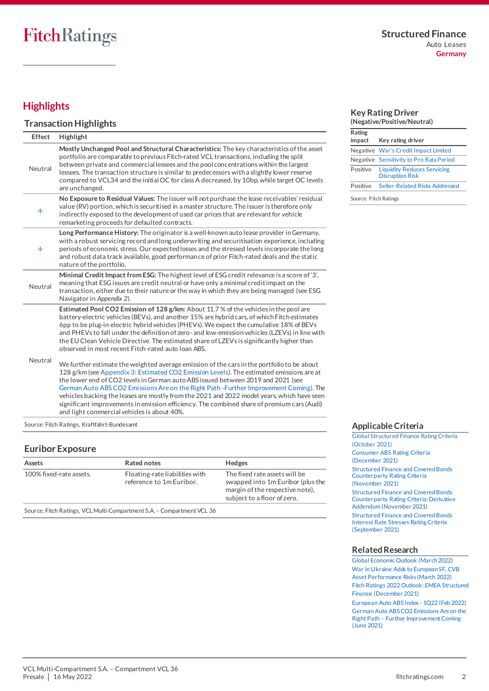## <span id="page-1-0"></span>**Highlights**

## **Transaction Highlights**

| <b>Effect</b> | Highlight                                                                                                                                                                                                                                                                                                                                                                                                                                                                                                                                                                                                                                                                                                                                                                                                                                                                                                                                                                                                                                                                                                                                              |
|---------------|--------------------------------------------------------------------------------------------------------------------------------------------------------------------------------------------------------------------------------------------------------------------------------------------------------------------------------------------------------------------------------------------------------------------------------------------------------------------------------------------------------------------------------------------------------------------------------------------------------------------------------------------------------------------------------------------------------------------------------------------------------------------------------------------------------------------------------------------------------------------------------------------------------------------------------------------------------------------------------------------------------------------------------------------------------------------------------------------------------------------------------------------------------|
| Neutral       | Mostly Unchanged Pool and Structural Characteristics: The key characteristics of the asset<br>portfolio are comparable to previous Fitch-rated VCL transactions, including the split<br>between private and commercial lessees and the pool concentrations within the largest<br>lessees. The transaction structure is similar to predecessors with a slightly lower reserve<br>compared to VCL34 and the initial OC for class A decreased, by 10bp, while target OC levels<br>are unchanged.                                                                                                                                                                                                                                                                                                                                                                                                                                                                                                                                                                                                                                                          |
| ٠             | No Exposure to Residual Values: The issuer will not purchase the lease receivables' residual<br>value (RV) portion, which is securitised in a master structure. The issuer is therefore only<br>indirectly exposed to the development of used car prices that are relevant for vehicle<br>remarketing proceeds for defaulted contracts.                                                                                                                                                                                                                                                                                                                                                                                                                                                                                                                                                                                                                                                                                                                                                                                                                |
| ٠             | Long Performance History: The originator is a well-known auto lease provider in Germany,<br>with a robust servicing record and long underwriting and securitisation experience, including<br>periods of economic stress. Our expected losses and the stressed levels incorporate the long<br>and robust data track available, good performance of prior Fitch-rated deals and the static<br>nature of the portfolio.                                                                                                                                                                                                                                                                                                                                                                                                                                                                                                                                                                                                                                                                                                                                   |
| Neutral       | Minimal Credit Impact from ESG: The highest level of ESG credit relevance is a score of '3',<br>meaning that ESG issues are credit neutral or have only a minimal creditimpact on the<br>transaction, either due to their nature or the way in which they are being managed (see ESG<br>Navigator in Appendix 2).                                                                                                                                                                                                                                                                                                                                                                                                                                                                                                                                                                                                                                                                                                                                                                                                                                      |
| Neutral       | Estimated Pool CO2 Emission of 128 g/km: About 11.7 % of the vehicles in the pool are<br>battery-electric vehicles (BEVs), and another 15% are hybrid cars, of which Fitch estimates<br>6pp to be plug-in electric hybrid vehicles (PHEVs). We expect the cumulative 18% of BEVs<br>and PHEVs to fall under the definition of zero-and low-emission vehicles (LZEVs) in line with<br>the EU Clean Vehicle Directive. The estimated share of LZEVs is significantly higher than<br>observed in most recent Fitch-rated auto Joan ABS.<br>We further estimate the weighted average emission of the cars in the portfolio to be about<br>128 g/km (see Appendix 3: Estimated CO2 Emission Levels). The estimated emissions are at<br>the lower end of CO2 levels in German auto ABS issued between 2019 and 2021 (see<br>German Auto ABS CO2 Emissions Are on the Right Path -Further Improvement Coming). The<br>vehicles backing the leases are mostly from the 2021 and 2022 model years, which have seen<br>significant improvements in emission efficiency. The combined share of premium cars (Audi)<br>and light commercial vehicles is about 40%. |

Source: Fitch Ratings, Kraftfahrt-Bundesamt

## **Euribor Exposure**

| Assets                                                                 | Rated notes                                                | <b>Hedges</b>                                                                                                                        |  |  |
|------------------------------------------------------------------------|------------------------------------------------------------|--------------------------------------------------------------------------------------------------------------------------------------|--|--|
| 100% fixed-rate assets.                                                | Floating-rate liabilities with<br>reference to 1m Euribor. | The fixed rate assets will be<br>swapped into 1m Euribor (plus the<br>margin of the respective note),<br>subject to a floor of zero. |  |  |
| Source: Fitch Ratings, VCL Multi-Compartment S.A. - Compartment VCL 36 |                                                            |                                                                                                                                      |  |  |

#### **Key Rating Driver (Negative/Positive/Neutral)**

| 11166611167116916116971169116117 |                                                              |  |  |
|----------------------------------|--------------------------------------------------------------|--|--|
| Rating                           |                                                              |  |  |
| impact                           | Key rating driver                                            |  |  |
|                                  | Negative War's Credit Impact Limited                         |  |  |
|                                  | Negative Sensitivity to Pro Rata Period                      |  |  |
| Positive                         | <b>Liquidity Reduces Servicing</b><br><b>Disruption Risk</b> |  |  |
| Positive                         | Seller-Related Risks Addressed                               |  |  |
| Source: Fitch Ratings            |                                                              |  |  |

**Applicable Criteria**

[Global Structured Finance Rating Criteria](https://www.fitchratings.com/research/structured-finance/global-structured-finance-rating-criteria-26-10-2021)  [\(October 2021\)](https://www.fitchratings.com/research/structured-finance/global-structured-finance-rating-criteria-26-10-2021) [Consumer ABS Rating Criteria](https://www.fitchratings.com/research/structured-finance/consumer-abs-rating-criteria-23-12-2021) [\(December 2021\)](https://www.fitchratings.com/research/structured-finance/consumer-abs-rating-criteria-23-12-2021) [Structured Finance and Covered Bonds](https://www.fitchratings.com/research/structured-finance/structured-finance-covered-bonds-counterparty-rating-criteria-04-11-2021)  [Counterparty Rating Criteria](https://www.fitchratings.com/research/structured-finance/structured-finance-covered-bonds-counterparty-rating-criteria-04-11-2021) [\(November 2021\)](https://www.fitchratings.com/research/structured-finance/structured-finance-covered-bonds-counterparty-rating-criteria-04-11-2021) [Structured Finance and Covered Bonds](https://www.fitchratings.com/research/structured-finance/structured-finance-covered-bonds-counterparty-rating-criteria-derivative-addendum-04-11-2021)  [Counterparty Rating Criteria: Derivative](https://www.fitchratings.com/research/structured-finance/structured-finance-covered-bonds-counterparty-rating-criteria-derivative-addendum-04-11-2021)  [Addendum \(November 2021\)](https://www.fitchratings.com/research/structured-finance/structured-finance-covered-bonds-counterparty-rating-criteria-derivative-addendum-04-11-2021)  [Structured Finance and Covered Bonds](https://www.fitchratings.com/research/structured-finance/structured-finance-covered-bonds-interest-rate-stresses-rating-criteria-20-09-2021)  [Interest Rate Stresses Rating Criteria](https://www.fitchratings.com/research/structured-finance/structured-finance-covered-bonds-interest-rate-stresses-rating-criteria-20-09-2021) [\(September 2021\)](https://www.fitchratings.com/research/structured-finance/structured-finance-covered-bonds-interest-rate-stresses-rating-criteria-20-09-2021)

## **Related Research**

[Global Economic Outlook \(March 2022\)](https://www.fitchratings.com/research/sovereigns/global-economic-outlook-march-2022-21-03-2022) [War in Ukraine Adds to European SF, CVB](https://www.fitchratings.com/research/structured-finance/war-in-ukraine-adds-to-european-sf-cvb-asset-performance-risks-22-03-2022)  [Asset Performance Risks \(March 2022\)](https://www.fitchratings.com/research/structured-finance/war-in-ukraine-adds-to-european-sf-cvb-asset-performance-risks-22-03-2022) [Fitch Ratings 2022 Outlook: EMEA Structured](https://www.fitchratings.com/research/structured-finance/fitch-ratings-2022-outlook-emea-structured-finance-09-12-2021)  [Finance \(December 2021\)](https://www.fitchratings.com/research/structured-finance/fitch-ratings-2022-outlook-emea-structured-finance-09-12-2021)

[European Auto ABS Index -](https://www.fitchratings.com/research/structured-finance/european-auto-abs-index-1q22-16-02-2022) 1Q22 (Feb 2022) [German Auto ABS CO2 Emissions Are on the](https://www.fitchratings.com/site/re/10163637)  Right Path – [Further Improvement Coming](https://www.fitchratings.com/site/re/10163637)  [\(June 2021\)](https://www.fitchratings.com/site/re/10163637)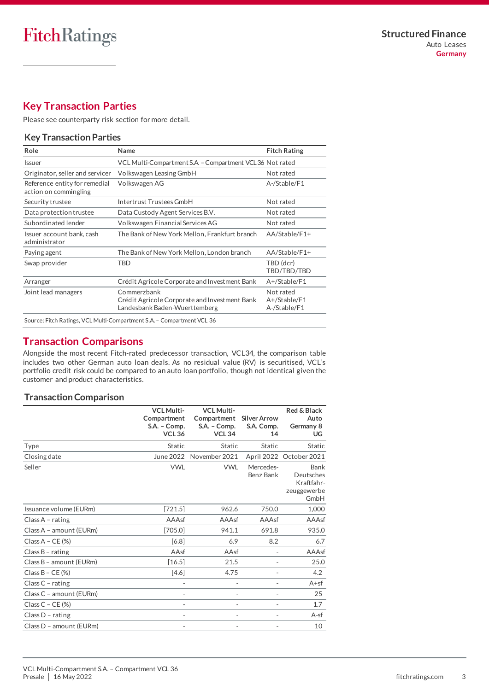## <span id="page-2-0"></span>**Key Transaction Parties**

Please se[e counterparty risk section](#page-12-0) for more detail.

## **Key Transaction Parties**

| Name                                                                                          | <b>Fitch Rating</b>                       |  |
|-----------------------------------------------------------------------------------------------|-------------------------------------------|--|
| VCL Multi-Compartment S.A. - Compartment VCL 36 Not rated                                     |                                           |  |
| Volkswagen Leasing GmbH                                                                       | Not rated                                 |  |
| Volkswagen AG                                                                                 | A-/Stable/F1                              |  |
| Intertrust Trustees GmbH                                                                      | Not rated                                 |  |
| Data Custody Agent Services B.V.                                                              | Not rated                                 |  |
| Volkswagen Financial Services AG                                                              | Not rated                                 |  |
| The Bank of New York Mellon, Frankfurt branch                                                 | AA/Stable/F1+                             |  |
| The Bank of New York Mellon, London branch                                                    | AA/Stable/F1+                             |  |
| TBD                                                                                           | TBD (dcr)<br>TBD/TBD/TBD                  |  |
| Crédit Agricole Corporate and Investment Bank                                                 | A+/Stable/F1                              |  |
| Commerzbank<br>Crédit Agricole Corporate and Investment Bank<br>Landesbank Baden-Wuerttemberg | Not rated<br>A+/Stable/F1<br>A-/Stable/F1 |  |
|                                                                                               |                                           |  |

## <span id="page-2-1"></span>**Transaction Comparisons**

Alongside the most recent Fitch-rated predecessor transaction, VCL34, the comparison table includes two other German auto loan deals. As no residual value (RV) is securitised, VCL's portfolio credit risk could be compared to an auto loan portfolio, though not identical given the customer and product characteristics.

## **Transaction Comparison**

|                         | <b>VCL Multi-</b><br>Compartment<br>S.A. - Comp.<br><b>VCL 36</b> | <b>VCL Multi-</b><br>Compartment<br>S.A. - Comp.<br><b>VCL 34</b> | <b>Silver Arrow</b><br>S.A. Comp.<br>14 | Red & Black<br>Auto<br>Germany 8<br>UG                 |
|-------------------------|-------------------------------------------------------------------|-------------------------------------------------------------------|-----------------------------------------|--------------------------------------------------------|
| Type                    | Static                                                            | Static                                                            | <b>Static</b>                           | <b>Static</b>                                          |
| Closing date            |                                                                   | June 2022 November 2021                                           |                                         | April 2022 October 2021                                |
| Seller                  | <b>VWL</b>                                                        | <b>VWL</b>                                                        | Mercedes-<br>Benz Bank                  | Bank<br>Deutsches<br>Kraftfahr-<br>zeuggewerbe<br>GmbH |
| Issuance volume (EURm)  | [721.5]                                                           | 962.6                                                             | 750.0                                   | 1,000                                                  |
| Class $A$ - rating      | AAAsf                                                             | AAAsf                                                             | AAAsf                                   | AAAsf                                                  |
| Class A - amount (EURm) | [705.0]                                                           | 941.1                                                             | 691.8                                   | 935.0                                                  |
| Class $A - CE$ (%)      | [6.8]                                                             | 6.9                                                               | 8.2                                     | 6.7                                                    |
| Class $B$ - rating      | AAsf                                                              | AAsf                                                              |                                         | AAAsf                                                  |
| Class B - amount (EURm) | [16.5]                                                            | 21.5                                                              |                                         | 25.0                                                   |
| Class $B - CE$ (%)      | $[4.6]$                                                           | 4.75                                                              |                                         | 4.2                                                    |
| Class $C$ - rating      |                                                                   |                                                                   |                                         | $A + sf$                                               |
| Class C - amount (EURm) |                                                                   | $\overline{\phantom{0}}$                                          | $\overline{\phantom{a}}$                | 25                                                     |
| Class $C - CE$ (%)      |                                                                   |                                                                   |                                         | 1.7                                                    |
| Class $D$ - rating      |                                                                   |                                                                   |                                         | $A-sf$                                                 |
| Class D - amount (EURm) |                                                                   |                                                                   |                                         | 10                                                     |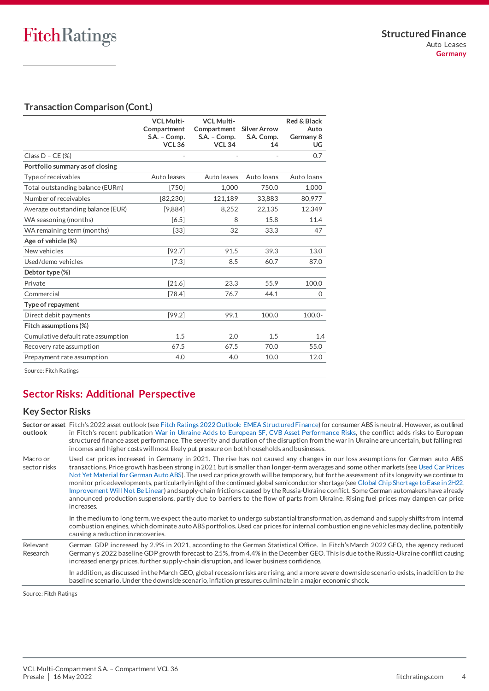## **Transaction Comparison (Cont.)**

|                                    | <b>VCL Multi-</b><br>Compartment<br>S.A. - Comp.<br><b>VCL 36</b> | <b>VCL Multi-</b><br>Compartment<br>S.A. - Comp.<br><b>VCL 34</b> | <b>Silver Arrow</b><br>S.A. Comp.<br>14 | Red & Black<br>Auto<br>Germany 8<br>UG |
|------------------------------------|-------------------------------------------------------------------|-------------------------------------------------------------------|-----------------------------------------|----------------------------------------|
| Class $D - CE$ (%)                 |                                                                   |                                                                   |                                         | 0.7                                    |
| Portfolio summary as of closing    |                                                                   |                                                                   |                                         |                                        |
| Type of receivables                | Auto leases                                                       | Auto leases                                                       | Auto Ioans                              | Auto Ioans                             |
| Total outstanding balance (EURm)   | $[750]$                                                           | 1.000                                                             | 750.0                                   | 1.000                                  |
| Number of receivables              | [82.230]                                                          | 121.189                                                           | 33.883                                  | 80.977                                 |
| Average outstanding balance (EUR)  | [9,884]                                                           | 8,252                                                             | 22,135                                  | 12,349                                 |
| WA seasoning (months)              | [6.5]                                                             | 8                                                                 | 15.8                                    | 11.4                                   |
| WA remaining term (months)         | $[33]$                                                            | 32                                                                | 33.3                                    | 47                                     |
| Age of vehicle (%)                 |                                                                   |                                                                   |                                         |                                        |
| New vehicles                       | [92.7]                                                            | 91.5                                                              | 39.3                                    | 13.0                                   |
| Used/demo vehicles                 | [7.3]                                                             | 8.5                                                               | 60.7                                    | 87.0                                   |
| Debtor type (%)                    |                                                                   |                                                                   |                                         |                                        |
| Private                            | [21.6]                                                            | 23.3                                                              | 55.9                                    | 100.0                                  |
| Commercial                         | [78.4]                                                            | 76.7                                                              | 44.1                                    | $\Omega$                               |
| Type of repayment                  |                                                                   |                                                                   |                                         |                                        |
| Direct debit payments              | [99.2]                                                            | 99.1                                                              | 100.0                                   | 100.0-                                 |
| Fitch assumptions (%)              |                                                                   |                                                                   |                                         |                                        |
| Cumulative default rate assumption | 1.5                                                               | 2.0                                                               | 1.5                                     | 1.4                                    |
| Recovery rate assumption           | 67.5                                                              | 67.5                                                              | 70.0                                    | 55.0                                   |
| Prepayment rate assumption         | 4.0                                                               | 4.0                                                               | 10.0                                    | 12.0                                   |
| Course: Eitch Datings              |                                                                   |                                                                   |                                         |                                        |

<span id="page-3-0"></span>Source: Fitch Ratings

## **Sector Risks: Additional Perspective**

## **Key Sector Risks**

| outlook                  | Sector or asset Fitch's 2022 asset outlook (see Fitch Ratings 2022 Outlook: EMEA Structured Finance) for consumer ABS is neutral. However, as outlined<br>in Fitch's recent publication War in Ukraine Adds to European SF, CVB Asset Performance Risks, the conflict adds risks to European<br>structured finance asset performance. The severity and duration of the disruption from the war in Ukraine are uncertain, but falling real<br>incomes and higher costs will most likely put pressure on both households and businesses.                                                                                                                                                                                                                                                                                                                             |
|--------------------------|--------------------------------------------------------------------------------------------------------------------------------------------------------------------------------------------------------------------------------------------------------------------------------------------------------------------------------------------------------------------------------------------------------------------------------------------------------------------------------------------------------------------------------------------------------------------------------------------------------------------------------------------------------------------------------------------------------------------------------------------------------------------------------------------------------------------------------------------------------------------|
| Macro or<br>sector risks | Used car prices increased in Germany in 2021. The rise has not caused any changes in our loss assumptions for German auto ABS<br>transactions. Price growth has been strong in 2021 but is smaller than longer-term averages and some other markets (see Used Car Prices<br>Not Yet Material for German Auto ABS). The used car price growth will be temporary, but for the assessment of its longevity we continue to<br>monitor pricedevelopments, particularly in light of the continued global semiconductor shortage (see Global Chip Shortage to Ease in 2H22,<br>Improvement Will Not Be Linear) and supply-chain frictions caused by the Russia-Ukraine conflict. Some German automakers have already<br>announced production suspensions, partly due to barriers to the flow of parts from Ukraine. Rising fuel prices may dampen car price<br>increases. |
|                          | In the medium to long term, we expect the auto market to undergo substantial transformation, as demand and supply shifts from intemal<br>combustion engines, which dominate auto ABS portfolios. Used car prices for internal combustion engine vehicles may decline, potentially<br>causing a reduction in recoveries.                                                                                                                                                                                                                                                                                                                                                                                                                                                                                                                                            |
| Relevant<br>Research     | German GDP increased by 2.9% in 2021, according to the German Statistical Office. In Fitch's March 2022 GEO, the agency reduced<br>Germany's 2022 baseline GDP growth forecast to 2.5%, from 4.4% in the December GEO. This is due to the Russia-Ukraine conflict causing<br>increased energy prices, further supply-chain disruption, and lower business confidence.                                                                                                                                                                                                                                                                                                                                                                                                                                                                                              |
|                          | In addition, as discussed in the March GEO, global recession risks are rising, and a more severe downside scenario exists, in addition to the<br>baseline scenario. Under the downside scenario, inflation pressures culminate in a major economic shock.                                                                                                                                                                                                                                                                                                                                                                                                                                                                                                                                                                                                          |
| Source: Fitch Ratings    |                                                                                                                                                                                                                                                                                                                                                                                                                                                                                                                                                                                                                                                                                                                                                                                                                                                                    |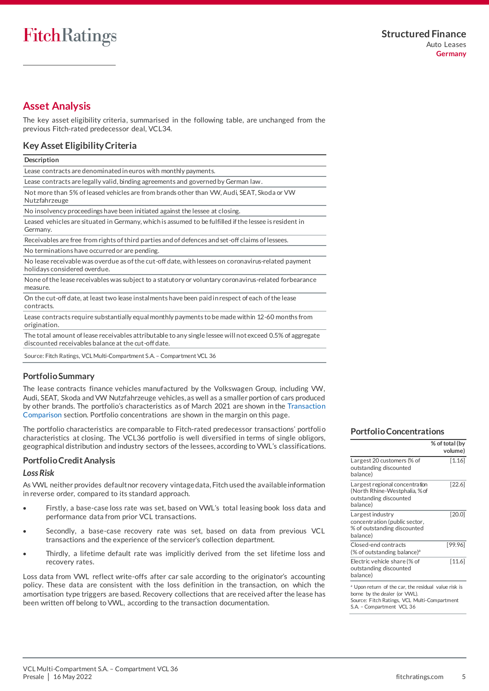## <span id="page-4-0"></span>**Asset Analysis**

The key asset eligibility criteria, summarised in the following table, are unchanged from the previous Fitch-rated predecessor deal, VCL34.

## **Key Asset Eligibility Criteria**

Lease contracts are denominated in euros with monthly payments.

Lease contracts are legally valid, binding agreements and governed by German law.

Not more than 5% of leased vehicles are from brands other than VW, Audi, SEAT, Skoda or VW Nutzfahrzeuge

No insolvency proceedings have been initiated against the lessee at closing.

Leased vehicles are situated in Germany, which is assumed to be fulfilled if the lessee is resident in Germany.

Receivables are free from rights of third parties and of defences and set-off claims of lessees. No terminations have occurred or are pending.

No lease receivable was overdue as of the cut-off date, with lessees on coronavirus-related payment holidays considered overdue.

None of the lease receivables was subject to a statutory or voluntary coronavirus-related forbearance measure.

On the cut-off date, at least two lease instalments have been paid in respect of each of the lease contracts.

Lease contracts require substantially equal monthly payments to be made within 12-60 months from origination.

The total amount of lease receivables attributable to any single lessee will not exceed 0.5% of aggregate discounted receivables balance at the cut-off date.

Source: Fitch Ratings, VCL Multi-Compartment S.A. – Compartment VCL 36

## **Portfolio Summary**

The lease contracts finance vehicles manufactured by the Volkswagen Group, including VW, Audi, SEAT, Skoda and VW Nutzfahrzeuge vehicles, as well as a smaller portion of cars produced by other brands. The portfolio's characteristics as of March 2021 are shown in the [Transaction](#page-2-1)  [Comparison](#page-2-1) section. Portfolio concentrations are shown in the margin on this page.

The portfolio characteristics are comparable to Fitch-rated predecessor transactions' portfoli o characteristics at closing. The VCL36 portfolio is well diversified in terms of single obligors, geographical distribution and industry sectors of the lessees, according to VWL's classifications.

## **Portfolio Credit Analysis**

## *Loss Risk*

As VWL neither provides default nor recovery vintage data, Fitch used the available information in reverse order, compared to its standard approach.

- Firstly, a base-case loss rate was set, based on VWL's total leasing book loss data and performance data from prior VCL transactions.
- Secondly, a base-case recovery rate was set, based on data from previous VCL transactions and the experience of the servicer's collection department.
- Thirdly, a lifetime default rate was implicitly derived from the set lifetime loss and recovery rates.

Loss data from VWL reflect write-offs after car sale according to the originator's accounting policy. These data are consistent with the loss definition in the transaction, on which the amortisation type triggers are based. Recovery collections that are received after the lease has been written off belong to VWL, according to the transaction documentation.

#### **Portfolio Concentrations**

|                                                                                                                                                                  | % of total (by<br>volume) |
|------------------------------------------------------------------------------------------------------------------------------------------------------------------|---------------------------|
| Largest 20 customers (% of<br>outstanding discounted<br>balance)                                                                                                 | $\left[ 1.16 \right]$     |
| Largest regional concentration<br>(North Rhine-Westphalia, %of<br>outstanding discounted<br>balance)                                                             | [22.6]                    |
| Largest industry<br>concentration (public sector,<br>% of outstanding discounted<br>balance)                                                                     | [20.0]                    |
| Closed-end contracts<br>(% of outstanding balance) <sup>a</sup>                                                                                                  | [99.96]                   |
| Electric vehicle share (% of<br>outstanding discounted<br>balance)                                                                                               | $[11.6]$                  |
| Upon return of the car, the residual value risk is<br>borne by the dealer (or VWL).<br>Source: Fitch Ratings, VCL Multi-Compartment<br>S.A. - Compartment VCL 36 |                           |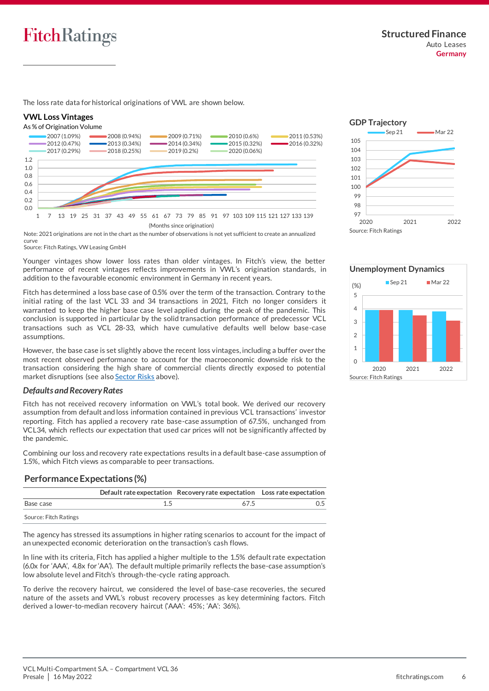

The loss rate data for historical originations of VWL are shown below.

#### **VWL Loss Vintages**





Note: 2021 originations are not in the chart as the number of observations is not yet sufficient to create an annualized curve

Source: Fitch Ratings, VW Leasing GmbH

Younger vintages show lower loss rates than older vintages. In Fitch's view, the better performance of recent vintages reflects improvements in VWL's origination standards, in addition to the favourable economic environment in Germany in recent years.

Fitch has determined a loss base case of 0.5% over the term of the transaction. Contrary to the initial rating of the last VCL 33 and 34 transactions in 2021, Fitch no longer considers it warranted to keep the higher base case level applied during the peak of the pandemic. This conclusion is supported in particular by the solid transaction performance of predecessor VCL transactions such as VCL 28-33, which have cumulative defaults well below base-case assumptions.

However, the base case is set slightly above the recent loss vintages, including a buffer over the most recent observed performance to account for the macroeconomic downside risk to the transaction considering the high share of commercial clients directly exposed to potential market disruptions (see also Sector Risks above).

#### *Defaults and Recovery Rates*

Fitch has not received recovery information on VWL's total book. We derived our recovery assumption from default and loss information contained in previous VCL transactions' investor reporting. Fitch has applied a recovery rate base-case assumption of 67.5%, unchanged from VCL34, which reflects our expectation that used car prices will not be significantly affected by the pandemic.

Combining our loss and recovery rate expectations results in a default base-case assumption of 1.5%, which Fitch views as comparable to peer transactions.

## **Performance Expectations (%)**

|                       | Default rate expectation Recovery rate expectation Loss rate expectation |  |
|-----------------------|--------------------------------------------------------------------------|--|
| Base case             | 675                                                                      |  |
| Source: Fitch Ratings |                                                                          |  |

The agency has stressed its assumptions in higher rating scenarios to account for the impact of an unexpected economic deterioration on the transaction's cash flows.

In line with its criteria, Fitch has applied a higher multiple to the 1.5% default rate expectation (6.0x for 'AAA', 4.8x for 'AA'). The default multiple primarily reflects the base-case assumption's low absolute level and Fitch's through-the-cycle rating approach.

To derive the recovery haircut, we considered the level of base-case recoveries, the secured nature of the assets and VWL's robust recovery processes as key determining factors. Fitch derived a lower-to-median recovery haircut ('AAA': 45%; 'AA': 36%).





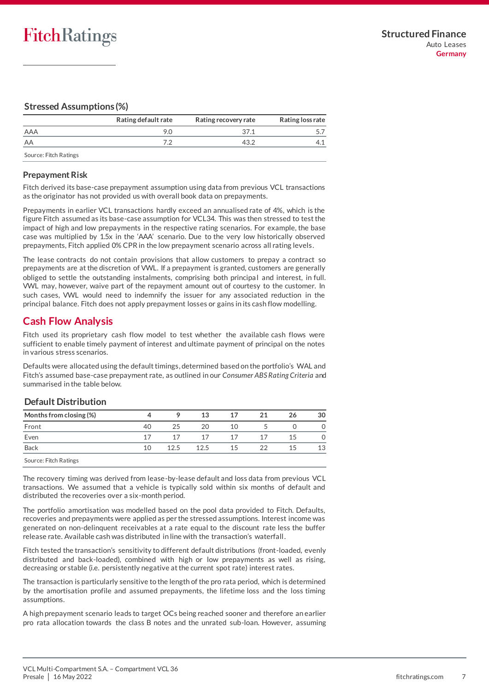## **Stressed Assumptions (%)**

|                       | Rating default rate | Rating recovery rate | Rating loss rate |
|-----------------------|---------------------|----------------------|------------------|
| AAA                   | 9.0                 | 37.1                 |                  |
| AA                    |                     | 43.2                 |                  |
| Source: Fitch Ratings |                     |                      |                  |

## **Prepayment Risk**

Fitch derived its base-case prepayment assumption using data from previous VCL transactions as the originator has not provided us with overall book data on prepayments.

Prepayments in earlier VCL transactions hardly exceed an annualised rate of 4%, which is the figure Fitch assumed as its base-case assumption for VCL34. This was then stressed to test the impact of high and low prepayments in the respective rating scenarios. For example, the base case was multiplied by 1.5x in the 'AAA' scenario. Due to the very low historically observed prepayments, Fitch applied 0% CPR in the low prepayment scenario across all rating levels.

The lease contracts do not contain provisions that allow customers to prepay a contract so prepayments are at the discretion of VWL. If a prepayment is granted, customers are generally obliged to settle the outstanding instalments, comprising both principal and interest, in full. VWL may, however, waive part of the repayment amount out of courtesy to the customer. In such cases, VWL would need to indemnify the issuer for any associated reduction in the principal balance. Fitch does not apply prepayment losses or gains in its cash flow modelling.

## <span id="page-6-0"></span>**Cash Flow Analysis**

Fitch used its proprietary cash flow model to test whether the available cash flows were sufficient to enable timely payment of interest and ultimate payment of principal on the notes in various stress scenarios.

Defaults were allocated using the default timings, determined based on the portfolio's WAL and Fitch's assumed base-case prepayment rate, as outlined in our *Consumer ABS Rating Criteria* and summarised in the table below.

## **Default Distribution**

| Months from closing (%) |    |      | 13   | 17 | 21 | 26 | 30 |
|-------------------------|----|------|------|----|----|----|----|
| Front                   | 40 | 25   | 20   | 10 |    |    |    |
| Even                    | 17 | 17   | 17   | 17 | 17 | 15 |    |
| Back                    | 10 | 12.5 | 12.5 | 15 | 22 | 15 | 13 |
| Source: Fitch Ratings   |    |      |      |    |    |    |    |

The recovery timing was derived from lease-by-lease default and loss data from previous VCL transactions. We assumed that a vehicle is typically sold within six months of default and distributed the recoveries over a six-month period.

The portfolio amortisation was modelled based on the pool data provided to Fitch. Defaults, recoveries and prepayments were applied as per the stressed assumptions. Interest income was generated on non-delinquent receivables at a rate equal to the discount rate less the buffer release rate. Available cash was distributed in line with the transaction's waterfall.

Fitch tested the transaction's sensitivity to different default distributions (front-loaded, evenly distributed and back-loaded), combined with high or low prepayments as well as rising, decreasing or stable (i.e. persistently negative at the current spot rate) interest rates.

The transaction is particularly sensitive to the length of the pro rata period, which is determined by the amortisation profile and assumed prepayments, the lifetime loss and the loss timing assumptions.

A high prepayment scenario leads to target OCs being reached sooner and therefore an earlier pro rata allocation towards the class B notes and the unrated sub-loan. However, assuming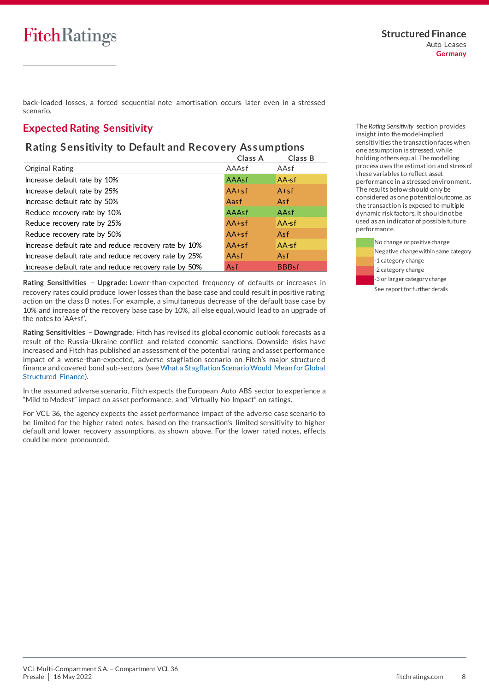back-loaded losses, a forced sequential note amortisation occurs later even in a stressed scenario.

## <span id="page-7-0"></span>**Expected Rating Sensitivity**

# <sub>Rating</sub><br>Expected Rating Sensitivity<br>Rating Sensitivity to Default and Recovery Assumptions

| Rating Sensitivity to Default and Recovery Assumptions |              |              |  |  |  |  |
|--------------------------------------------------------|--------------|--------------|--|--|--|--|
|                                                        | Class A      | Class B      |  |  |  |  |
| Original Rating                                        | AAAsf        | AAsf         |  |  |  |  |
| Increase default rate by 10%                           | <b>AAAsf</b> | $AA-sf$      |  |  |  |  |
| Increase default rate by 25%                           | $AA+sf$      | $A + sf$     |  |  |  |  |
| Increase default rate by 50%                           | Aasf         | Asf          |  |  |  |  |
| Reduce recovery rate by 10%                            | AAAsf        | AAsf         |  |  |  |  |
| Reduce recovery rate by 25%                            | $AA+sf$      | $AA-sf$      |  |  |  |  |
| Reduce recovery rate by 50%                            | $AA+sf$      | Asf          |  |  |  |  |
| Increase default rate and reduce recovery rate by 10%  | $AA+sf$      | $AA-sf$      |  |  |  |  |
| Increase default rate and reduce recovery rate by 25%  | AAsf         | Asf          |  |  |  |  |
| Increase default rate and reduce recovery rate by 50%  | Asf          | <b>BBBsf</b> |  |  |  |  |

**Rating Sensitivities – Upgrade:** Lower-than-expected frequency of defaults or increases in recovery rates could produce lower losses than the base case and could result in positive rating action on the class B notes. For example, a simultaneous decrease of the default base case by 10% and increase of the recovery base case by 10%, all else equal, would lead to an upgrade of the notes to 'AA+sf'.

**Rating Sensitivities – Downgrade**: Fitch has revised its global economic outlook forecasts as a result of the Russia-Ukraine conflict and related economic sanctions. Downside risks have increased and Fitch has published an assessment of the potential rating and asset performance impact of a worse-than-expected, adverse stagflation scenario on Fitch's major structure d finance and covered bond sub-sectors (se[e What a Stagflation Scenario Would Mean for Global](https://www.fitchratings.com/research/structured-finance/what-global-stagflation-would-mean-for-structured-finance-covered-bond-ratings-04-04-2022)  [Structured Finance\).](https://www.fitchratings.com/research/structured-finance/what-global-stagflation-would-mean-for-structured-finance-covered-bond-ratings-04-04-2022)

In the assumed adverse scenario, Fitch expects the European Auto ABS sector to experience a "Mild to Modest" impact on asset performance, and "Virtually No Impact" on ratings.

For VCL 36, the agency expects the asset performance impact of the adverse case scenario to be limited for the higher rated notes, based on the transaction's limited sensitivity to higher default and lower recovery assumptions, as shown above. For the lower rated notes, effects could be more pronounced.

The *Rating Sensitivity* section provides insight into the model-implied sensitivities the transaction faces when one assumption is stressed, while holding others equal. The modelling process uses the estimation and stress of these variables to reflect asset performance in a stressed environment. The results below should only be considered as one potential outcome, as the transaction is exposed to multiple dynamic risk factors. It should not be used as an indicator of possible future performance.

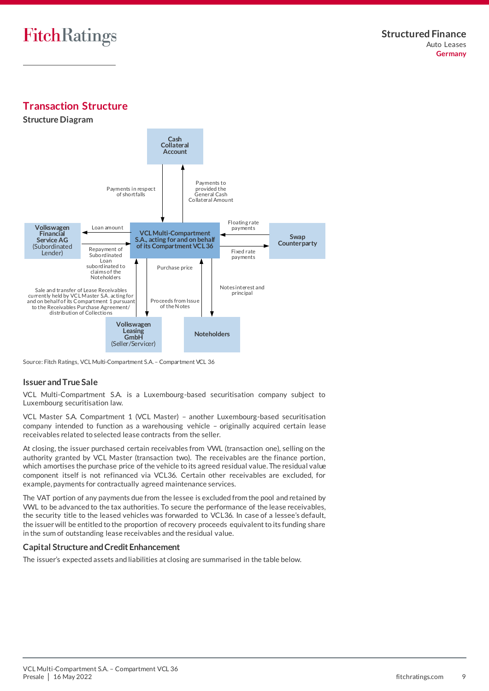<span id="page-8-0"></span>**Transaction Structure**

**Structure Diagram**



Source: Fitch Ratings, VCL Multi-Compartment S.A. – Compartment VCL 36

## **Issuer and True Sale**

VCL Multi-Compartment S.A. is a Luxembourg-based securitisation company subject to Luxembourg securitisation law.

VCL Master S.A. Compartment 1 (VCL Master) – another Luxembourg-based securitisation company intended to function as a warehousing vehicle – originally acquired certain lease receivables related to selected lease contracts from the seller.

At closing, the issuer purchased certain receivables from VWL (transaction one), selling on the authority granted by VCL Master (transaction two). The receivables are the finance portion, which amortises the purchase price of the vehicle to its agreed residual value. The residual value component itself is not refinanced via VCL36. Certain other receivables are excluded, for example, payments for contractually agreed maintenance services.

The VAT portion of any payments due from the lessee is excluded from the pool and retained by VWL to be advanced to the tax authorities. To secure the performance of the lease receivables, the security title to the leased vehicles was forwarded to VCL36. In case of a lessee's default, the issuer will be entitled to the proportion of recovery proceeds equivalent to its funding share in the sum of outstanding lease receivables and the residual value.

## **Capital Structure and Credit Enhancement**

The issuer's expected assets and liabilities at closing are summarised in the table below.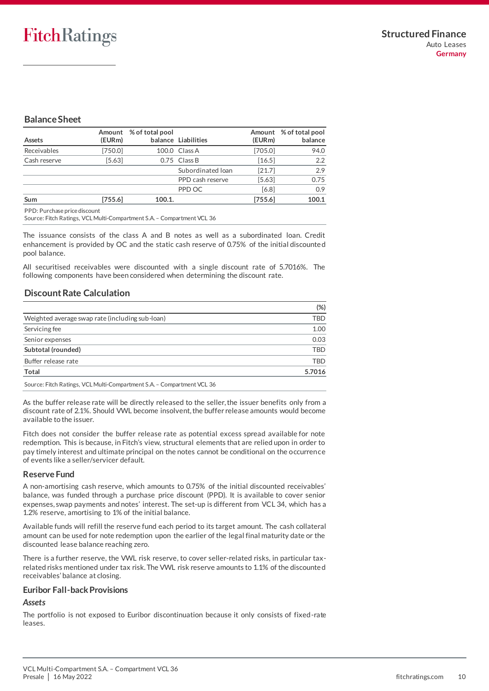## **Balance Sheet**

| Assets       | (EURm)    | Amount % of total pool | balance Liabilities | (EURm)  | Amount % of total pool<br>balance |
|--------------|-----------|------------------------|---------------------|---------|-----------------------------------|
| Receivables  | [750.0]   |                        | 100.0 Class A       | [705.0] | 94.0                              |
| Cash reserve | [5.63]    |                        | 0.75 Class B        | [16.5]  | 2.2                               |
|              |           |                        | Subordinated Ioan   | [21.7]  | 2.9                               |
|              |           |                        | PPD cash reserve    | [5.63]  | 0.75                              |
|              |           |                        | PPD OC              | [6.8]   | 0.9                               |
| Sum          | $[755.6]$ | 100.1.                 |                     | [755.6] | 100.1                             |

PPD: Purchase price discount

Source: Fitch Ratings, VCL Multi-Compartment S.A. – Compartment VCL 36

The issuance consists of the class A and B notes as well as a subordinated loan. Credit enhancement is provided by OC and the static cash reserve of 0.75% of the initial discounte d pool balance.

All securitised receivables were discounted with a single discount rate of 5.7016%. The following components have been considered when determining the discount rate.

## **Discount Rate Calculation**

|                                                                        | $(\%)$     |
|------------------------------------------------------------------------|------------|
| Weighted average swap rate (including sub-loan)                        | TBD        |
| Servicing fee                                                          | 1.00       |
| Senior expenses                                                        | 0.03       |
| Subtotal (rounded)                                                     | <b>TBD</b> |
| Buffer release rate                                                    | <b>TBD</b> |
| <b>Total</b>                                                           | 5.7016     |
| Source: Fitch Ratings, VCL Multi-Compartment S.A. - Compartment VCL 36 |            |

As the buffer release rate will be directly released to the seller, the issuer benefits only from a discount rate of 2.1%. Should VWL become insolvent, the buffer release amounts would become available to the issuer.

Fitch does not consider the buffer release rate as potential excess spread available for note redemption. This is because, in Fitch's view, structural elements that are relied upon in order to pay timely interest and ultimate principal on the notes cannot be conditional on the occurrence of events like a seller/servicer default.

## **Reserve Fund**

A non-amortising cash reserve, which amounts to 0.75% of the initial discounted receivables' balance, was funded through a purchase price discount (PPD). It is available to cover senior expenses, swap payments and notes' interest. The set-up is different from VCL 34, which has a 1.2% reserve, amortising to 1% of the initial balance.

Available funds will refill the reserve fund each period to its target amount. The cash collateral amount can be used for note redemption upon the earlier of the legal final maturity date or the discounted lease balance reaching zero.

There is a further reserve, the VWL risk reserve, to cover seller-related risks, in particular taxrelated risks mentioned under tax risk. The VWL risk reserve amounts to 1.1% of the discounte d receivables' balance at closing.

#### **Euribor Fall-back Provisions**

## *Assets*

The portfolio is not exposed to Euribor discontinuation because it only consists of fixed-rate leases.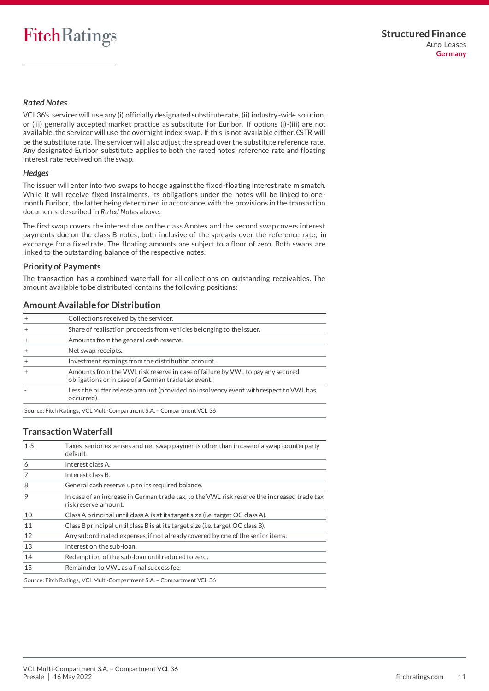## *Rated Notes*

VCL36's servicer will use any (i) officially designated substitute rate, (ii) industry-wide solution, or (iii) generally accepted market practice as substitute for Euribor. If options (i)-(iii) are not available, the servicer will use the overnight index swap. If this is not available either, €STR will be the substitute rate. The servicer will also adjust the spread over the substitute reference rate. Any designated Euribor substitute applies to both the rated notes' reference rate and floating interest rate received on the swap.

#### *Hedges*

The issuer will enter into two swaps to hedge against the fixed-floating interest rate mismatch. While it will receive fixed instalments, its obligations under the notes will be linked to onemonth Euribor, the latter being determined in accordance with the provisions in the transaction documents described in *Rated Notes* above.

The first swap covers the interest due on the class A notes and the second swap covers interest payments due on the class B notes, both inclusive of the spreads over the reference rate, in exchange for a fixed rate. The floating amounts are subject to a floor of zero. Both swaps are linked to the outstanding balance of the respective notes.

## **Priority of Payments**

The transaction has a combined waterfall for all collections on outstanding receivables. The amount available to be distributed contains the following positions:

## **Amount Available for Distribution**

|           | Collections received by the servicer.                                                                                                 |
|-----------|---------------------------------------------------------------------------------------------------------------------------------------|
| $\ddot{}$ | Share of realisation proceeds from vehicles belonging to the issuer.                                                                  |
|           | Amounts from the general cash reserve.                                                                                                |
|           | Net swap receipts.                                                                                                                    |
|           | Investment earnings from the distribution account.                                                                                    |
|           | Amounts from the VWL risk reserve in case of failure by VWL to pay any secured<br>obligations or in case of a German trade tax event. |
|           | Less the buffer release amount (provided no insolvency event with respect to VWL has<br>occurred).                                    |
|           |                                                                                                                                       |

Source: Fitch Ratings, VCL Multi-Compartment S.A. – Compartment VCL 36

## **Transaction Waterfall**

| $1 - 5$ | Taxes, senior expenses and net swap payments other than in case of a swap counterparty<br>default.                  |
|---------|---------------------------------------------------------------------------------------------------------------------|
| 6       | Interest class A.                                                                                                   |
| 7       | Interest class B.                                                                                                   |
| 8       | General cash reserve up to its required balance.                                                                    |
| 9       | In case of an increase in German trade tax, to the VWL risk reserve the increased trade tax<br>risk reserve amount. |
| 10      | Class A principal until class A is at its target size (i.e. target OC class A).                                     |
| 11      | Class B principal until class B is at its target size (i.e. target OC class B).                                     |
| 12      | Any subordinated expenses, if not already covered by one of the senior items.                                       |
| 13      | Interest on the sub-loan.                                                                                           |
| 14      | Redemption of the sub-loan until reduced to zero.                                                                   |
| 15      | Remainder to VWL as a final success fee.                                                                            |
|         | Source: Fitch Ratings, VCL Multi-Compartment S.A. - Compartment VCL 36                                              |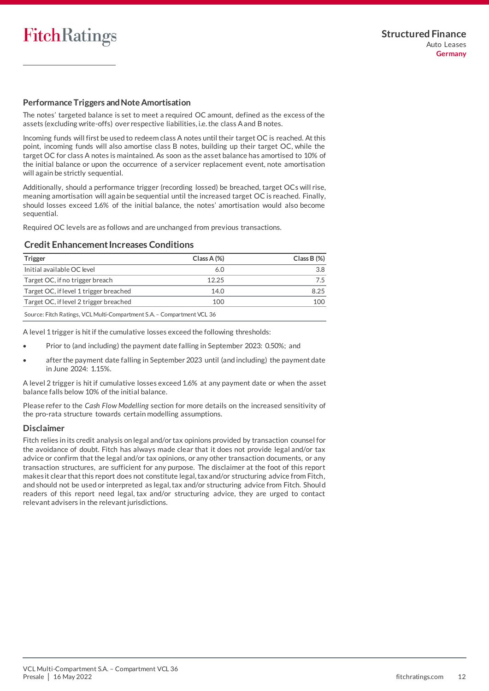## **Performance Triggers and Note Amortisation**

The notes' targeted balance is set to meet a required OC amount, defined as the excess of the assets (excluding write-offs) over respective liabilities, i.e. the class A and B notes.

Incoming funds will first be used to redeem class A notes until their target OC is reached. At this point, incoming funds will also amortise class B notes, building up their target OC, while the target OC for class A notes is maintained. As soon as the asset balance has amortised to 10% of the initial balance or upon the occurrence of a servicer replacement event, note amortisation will again be strictly sequential.

Additionally, should a performance trigger (recording lossed) be breached, target OCs will rise, meaning amortisation will again be sequential until the increased target OC is reached. Finally, should losses exceed 1.6% of the initial balance, the notes' amortisation would also become sequential.

Required OC levels are as follows and are unchanged from previous transactions.

## **Credit Enhancement Increases Conditions**

| <b>Trigger</b>                                                         | $Class A (\%)$ | $Class B (\%)$ |  |  |  |  |
|------------------------------------------------------------------------|----------------|----------------|--|--|--|--|
| Initial available OC level                                             | 6.0            | 3.8            |  |  |  |  |
| Target OC, if no trigger breach                                        | 12.25          | 7.5            |  |  |  |  |
| Target OC, if level 1 trigger breached                                 | 14.0           | 8.25           |  |  |  |  |
| Target OC, if level 2 trigger breached                                 | 100            | 100            |  |  |  |  |
| Source: Fitch Ratings, VCL Multi-Compartment S.A. - Compartment VCL 36 |                |                |  |  |  |  |

A level 1 trigger is hit if the cumulative losses exceed the following thresholds:

- Prior to (and including) the payment date falling in September 2023: 0.50%; and
- after the payment date falling in September 2023 until (and including) the payment date in June 2024: 1.15%.

A level 2 trigger is hit if cumulative losses exceed 1.6% at any payment date or when the asset balance falls below 10% of the initial balance.

Please refer to the *Cash Flow Modelling* section for more details on the increased sensitivity of the pro-rata structure towards certain modelling assumptions.

## **Disclaimer**

Fitch relies in its credit analysis on legal and/or tax opinions provided by transaction counsel for the avoidance of doubt. Fitch has always made clear that it does not provide legal and/or tax advice or confirm that the legal and/or tax opinions, or any other transaction documents, or any transaction structures, are sufficient for any purpose. The disclaimer at the foot of this report makes it clear that this report does not constitute legal, tax and/or structuring advice from Fitch, and should not be used or interpreted as legal, tax and/or structuring advice from Fitch. Should readers of this report need legal, tax and/or structuring advice, they are urged to contact relevant advisers in the relevant jurisdictions.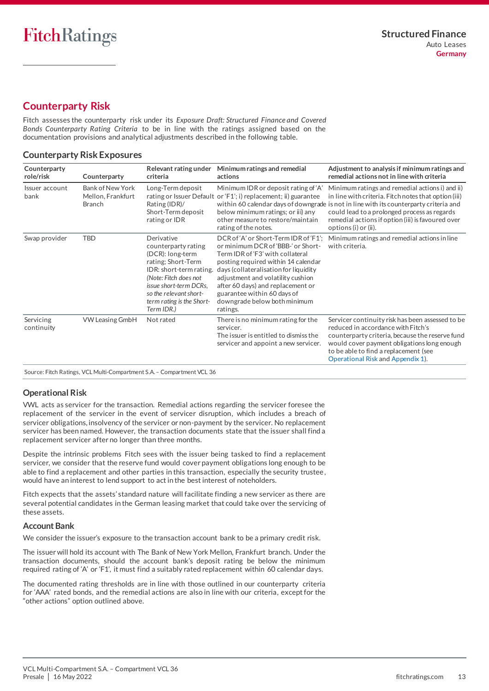## <span id="page-12-0"></span>**Counterparty Risk**

Fitch assesses the counterparty risk under its *Exposure Draft: Structured Finance and Covered Bonds Counterparty Rating Criteria* to be in line with the ratings assigned based on the documentation provisions and analytical adjustments described in the following table.

## **Counterparty Risk Exposures**

| Counterparty<br>role/risk | Counterparty                                                  | Relevant rating under<br>criteria                                                                                                                                                                                              | Minimum ratings and remedial<br>actions                                                                                                                                                                                                                                                                                                              | Adjustment to analysis if minimum ratings and<br>remedial actions not in line with criteria                                                                                                                                                                                                                                    |
|---------------------------|---------------------------------------------------------------|--------------------------------------------------------------------------------------------------------------------------------------------------------------------------------------------------------------------------------|------------------------------------------------------------------------------------------------------------------------------------------------------------------------------------------------------------------------------------------------------------------------------------------------------------------------------------------------------|--------------------------------------------------------------------------------------------------------------------------------------------------------------------------------------------------------------------------------------------------------------------------------------------------------------------------------|
| Issuer account<br>bank    | <b>Bank of New York</b><br>Mellon, Frankfurt<br><b>Branch</b> | Long-Term deposit<br>Rating (IDR)/<br>Short-Term deposit<br>rating or IDR                                                                                                                                                      | Minimum IDR or deposit rating of 'A'<br>rating or Issuer Default or 'F1'; i) replacement; ii) guarantee<br>below minimum ratings; or iii) any<br>other measure to restore/maintain<br>rating of the notes.                                                                                                                                           | Minimum ratings and remedial actions i) and ii)<br>in line with criteria. Fitch notes that option (iii)<br>within 60 calendar days of downgrade is not in line with its counterparty criteria and<br>could lead to a prolonged process as regards<br>remedial actions if option (iii) is favoured over<br>options (i) or (ii). |
| Swap provider             | <b>TBD</b>                                                    | Derivative<br>counterparty rating<br>(DCR): long-term<br>rating; Short-Term<br>IDR: short-term rating.<br>(Note: Fitch does not<br>issue short-term DCRs.<br>so the relevant short-<br>term rating is the Short-<br>Term IDR.) | DCR of 'A' or Short-Term IDR of 'F1';<br>or minimum DCR of 'BBB-' or Short-<br>Term IDR of 'F3' with collateral<br>posting required within 14 calendar<br>days (collateralisation for liquidity<br>adjustment and volatility cushion<br>after 60 days) and replacement or<br>guarantee within 60 days of<br>downgrade below both minimum<br>ratings. | Minimum ratings and remedial actions in line<br>with criteria.                                                                                                                                                                                                                                                                 |
| Servicing<br>continuity   | <b>VW Leasing GmbH</b>                                        | Not rated                                                                                                                                                                                                                      | There is no minimum rating for the<br>servicer.<br>The issuer is entitled to dismiss the<br>servicer and appoint a new servicer.                                                                                                                                                                                                                     | Servicer continuity risk has been assessed to be<br>reduced in accordance with Fitch's<br>counterparty criteria, because the reserve fund<br>would cover payment obligations long enough<br>to be able to find a replacement (see<br>Operational Risk and Appendix 1).                                                         |

Source: Fitch Ratings, VCL Multi-Compartment S.A. – Compartment VCL 36

## <span id="page-12-2"></span>**Operational Risk**

VWL acts as servicer for the transaction. Remedial actions regarding the servicer foresee the replacement of the servicer in the event of servicer disruption, which includes a breach of servicer obligations, insolvency of the servicer or non-payment by the servicer. No replacement servicer has been named. However, the transaction documents state that the issuer shall find a replacement servicer after no longer than three months.

Despite the intrinsic problems Fitch sees with the issuer being tasked to find a replacement servicer, we consider that the reserve fund would cover payment obligations long enough to be able to find a replacement and other parties in this transaction, especially the security trustee, would have an interest to lend support to act in the best interest of noteholders.

Fitch expects that the assets' standard nature will facilitate finding a new servicer as there are several potential candidates in the German leasing market that could take over the servicing of these assets.

## <span id="page-12-1"></span>**Account Bank**

We consider the issuer's exposure to the transaction account bank to be a primary credit risk.

The issuer will hold its account with The Bank of New York Mellon, Frankfurt branch. Under the transaction documents, should the account bank's deposit rating be below the minimum required rating of 'A' or 'F1', it must find a suitably rated replacement within 60 calendar days.

The documented rating thresholds are in line with those outlined in our counterparty criteria for 'AAA' rated bonds, and the remedial actions are also in line with our criteria, except for the "other actions" option outlined above.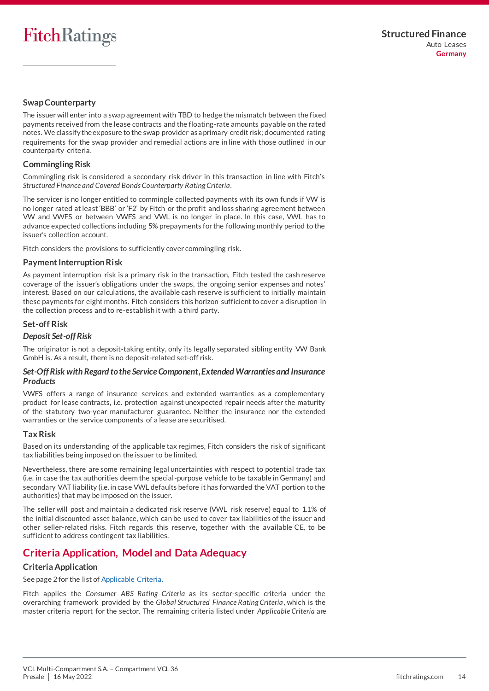## **Swap Counterparty**

The issuer will enter into a swap agreement with TBD to hedge the mismatch between the fixed payments received from the lease contracts and the floating-rate amounts payable on the rated notes. We classify the exposure to the swap provider as a primary credit risk; documented rating requirements for the swap provider and remedial actions are in line with those outlined in our counterparty criteria.

## **Commingling Risk**

Commingling risk is considered a secondary risk driver in this transaction in line with Fitch's *Structured Finance and Covered Bonds Counterparty Rating Criteria*.

The servicer is no longer entitled to commingle collected payments with its own funds if VW is no longer rated at least'BBB' or 'F2' by Fitch or the profit and loss sharing agreement between VW and VWFS or between VWFS and VWL is no longer in place. In this case, VWL has to advance expected collections including 5% prepayments for the following monthly period to the issuer's collection account.

Fitch considers the provisions to sufficiently cover commingling risk.

## <span id="page-13-1"></span>**Payment Interruption Risk**

As payment interruption risk is a primary risk in the transaction, Fitch tested the cash reserve coverage of the issuer's obligations under the swaps, the ongoing senior expenses and notes' interest. Based on our calculations, the available cash reserve is sufficient to initially maintain these payments for eight months. Fitch considers this horizon sufficient to cover a disruption in the collection process and to re-establish it with a third party.

## **Set-off Risk**

#### *Deposit Set-off Risk*

The originator is not a deposit-taking entity, only its legally separated sibling entity VW Bank GmbH is. As a result, there is no deposit-related set-off risk.

#### *Set-Off Risk with Regard to the Service Component, Extended Warranties and Insurance Products*

VWFS offers a range of insurance services and extended warranties as a complementary product for lease contracts, i.e. protection against unexpected repair needs after the maturity of the statutory two-year manufacturer guarantee. Neither the insurance nor the extended warranties or the service components of a lease are securitised.

#### **Tax Risk**

Based on its understanding of the applicable tax regimes, Fitch considers the risk of significant tax liabilities being imposed on the issuer to be limited.

Nevertheless, there are some remaining legal uncertainties with respect to potential trade tax (i.e. in case the tax authorities deem the special-purpose vehicle to be taxable in Germany) and secondary VAT liability (i.e. in case VWL defaults before it has forwarded the VAT portion to the authorities) that may be imposed on the issuer.

The seller will post and maintain a dedicated risk reserve (VWL risk reserve) equal to 1.1% of the initial discounted asset balance, which can be used to cover tax liabilities of the issuer and other seller-related risks. Fitch regards this reserve, together with the available CE, to be sufficient to address contingent tax liabilities.

## <span id="page-13-0"></span>**Criteria Application, Model and Data Adequacy**

## **Criteria Application**

See page 2 for the list of Applicable Criteria.

Fitch applies the *Consumer ABS Rating Criteria* as its sector-specific criteria under the overarching framework provided by the *Global Structured Finance Rating Criteria*, which is the master criteria report for the sector. The remaining criteria listed under *Applicable Criteria* are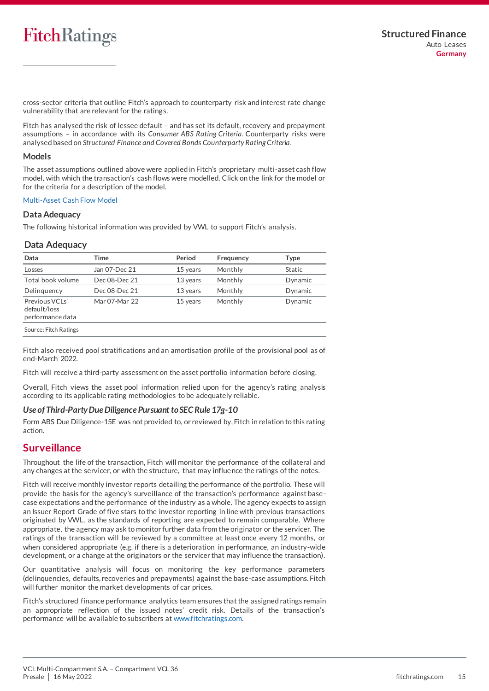cross-sector criteria that outline Fitch's approach to counterparty risk and interest rate change vulnerability that are relevant for the ratings.

Fitch has analysed the risk of lessee default – and has set its default, recovery and prepayment assumptions – in accordance with its *Consumer ABS Rating Criteria*. Counterparty risks were analysed based on *Structured Finance and Covered Bonds Counterparty Rating Criteria*.

#### **Models**

The asset assumptions outlined above were applied in Fitch's proprietary multi-asset cash flow model, with which the transaction's cash flows were modelled. Click on the link for the model or for the criteria for a description of the model.

#### [Multi-Asset Cash Flow Model](https://www.fitchratings.com/site/structuredfinance/emeacfm)

## **Data Adequacy**

The following historical information was provided by VWL to support Fitch's analysis.

## **Data Adequacy**

| Data                                               | Time          | Period   | Frequency | <b>Type</b>   |
|----------------------------------------------------|---------------|----------|-----------|---------------|
| Losses                                             | Jan 07-Dec 21 | 15 years | Monthly   | <b>Static</b> |
| Total book volume                                  | Dec 08-Dec 21 | 13 years | Monthly   | Dynamic       |
| Delinguency                                        | Dec 08-Dec 21 | 13 years | Monthly   | Dynamic       |
| Previous VCLs'<br>default/loss<br>performance data | Mar 07-Mar 22 | 15 years | Monthly   | Dynamic       |
| Source: Fitch Ratings                              |               |          |           |               |

Fitch also received pool stratifications and an amortisation profile of the provisional pool as of end-March 2022.

Fitch will receive a third-party assessment on the asset portfolio information before closing.

Overall, Fitch views the asset pool information relied upon for the agency's rating analysis according to its applicable rating methodologies to be adequately reliable.

## *Use of Third-Party Due Diligence Pursuant to SEC Rule 17g-10*

Form ABS Due Diligence-15E was not provided to, or reviewed by, Fitch in relation to this rating action.

## <span id="page-14-0"></span>**Surveillance**

Throughout the life of the transaction, Fitch will monitor the performance of the collateral and any changes at the servicer, or with the structure, that may influence the ratings of the notes.

Fitch will receive monthly investor reports detailing the performance of the portfolio. These will provide the basis for the agency's surveillance of the transaction's performance against base case expectations and the performance of the industry as a whole. The agency expects to assign an Issuer Report Grade of five stars to the investor reporting in line with previous transactions originated by VWL, as the standards of reporting are expected to remain comparable. Where appropriate, the agency may ask to monitor further data from the originator or the servicer. The ratings of the transaction will be reviewed by a committee at least once every 12 months, or when considered appropriate (e.g. if there is a deterioration in performance, an industry-wide development, or a change at the originators or the servicer that may influence the transaction).

Our quantitative analysis will focus on monitoring the key performance parameters (delinquencies, defaults, recoveries and prepayments) against the base-case assumptions. Fitch will further monitor the market developments of car prices.

Fitch's structured finance performance analytics team ensures that the assigned ratings remain an appropriate reflection of the issued notes' credit risk. Details of the transaction's performance will be available to subscribers a[t www.fitchratings.com.](http://www.fitchratings.com/)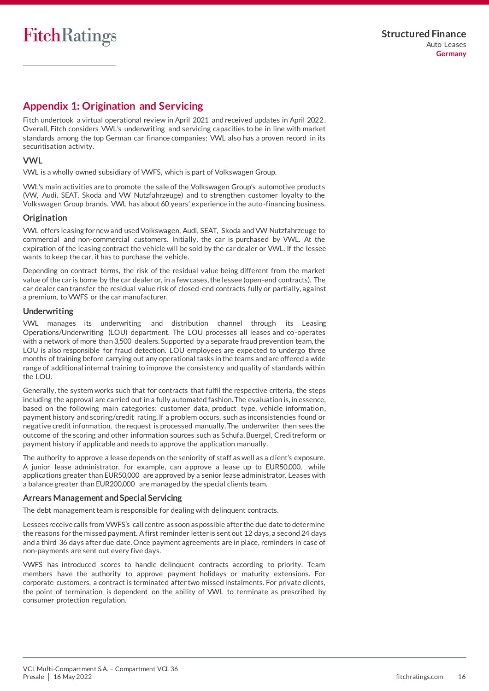## <span id="page-15-0"></span>**Appendix 1: Origination and Servicing**

Fitch undertook a virtual operational review in April 2021 and received updates in April 2022. Overall, Fitch considers VWL's underwriting and servicing capacities to be in line with market standards among the top German car finance companies; VWL also has a proven record in its securitisation activity.

## **VWL**

VWL is a wholly owned subsidiary of VWFS, which is part of Volkswagen Group.

VWL's main activities are to promote the sale of the Volkswagen Group's automotive products (VW, Audi, SEAT, Skoda and VW Nutzfahrzeuge) and to strengthen customer loyalty to the Volkswagen Group brands. VWL has about 60 years' experience in the auto-financing business.

## **Origination**

VWL offers leasing for new and used Volkswagen, Audi, SEAT, Skoda and VW Nutzfahrzeuge to commercial and non-commercial customers. Initially, the car is purchased by VWL. At the expiration of the leasing contract the vehicle will be sold by the car dealer or VWL. If the lessee wants to keep the car, it has to purchase the vehicle.

Depending on contract terms, the risk of the residual value being different from the market value of the car is borne by the car dealer or, in a few cases, the lessee (open-end contracts). The car dealer can transfer the residual value risk of closed-end contracts fully or partially, against a premium, to VWFS or the car manufacturer.

## **Underwriting**

VWL manages its underwriting and distribution channel through its Leasing Operations/Underwriting (LOU) department. The LOU processes all leases and co-operates with a network of more than 3,500 dealers. Supported by a separate fraud prevention team, the LOU is also responsible for fraud detection. LOU employees are expected to undergo three months of training before carrying out any operational tasks in the teams and are offered a wide range of additional internal training to improve the consistency and quality of standards within the LOU.

Generally, the system works such that for contracts that fulfil the respective criteria, the steps including the approval are carried out in a fully automated fashion. The evaluation is, in essence, based on the following main categories: customer data, product type, vehicle information, payment history and scoring/credit rating. If a problem occurs, such as inconsistencies found or negative credit information, the request is processed manually. The underwriter then sees the outcome of the scoring and other information sources such as Schufa, Buergel, Creditreform or payment history if applicable and needs to approve the application manually.

The authority to approve a lease depends on the seniority of staff as well as a client's exposure. A junior lease administrator, for example, can approve a lease up to EUR50,000, while applications greater than EUR50,000 are approved by a senior lease administrator. Leases with a balance greater than EUR200,000 are managed by the special clients team.

## **Arrears Management and Special Servicing**

The debt management team is responsible for dealing with delinquent contracts.

Lessees receive calls from VWFS's call centre as soon as possible after the due date to determine the reasons for the missed payment. A first reminder letter is sent out 12 days, a second 24 days and a third 36 days after due date. Once payment agreements are in place, reminders in case of non-payments are sent out every five days.

VWFS has introduced scores to handle delinquent contracts according to priority. Team members have the authority to approve payment holidays or maturity extensions. For corporate customers, a contract is terminated after two missed instalments. For private clients, the point of termination is dependent on the ability of VWL to terminate as prescribed by consumer protection regulation.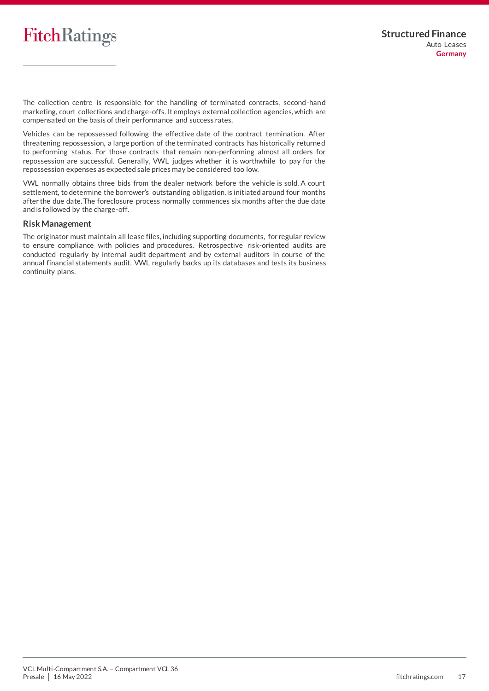The collection centre is responsible for the handling of terminated contracts, second-hand marketing, court collections and charge-offs. It employs external collection agencies, which are compensated on the basis of their performance and success rates.

Vehicles can be repossessed following the effective date of the contract termination. After threatening repossession, a large portion of the terminated contracts has historically returne d to performing status. For those contracts that remain non-performing almost all orders for repossession are successful. Generally, VWL judges whether it is worthwhile to pay for the repossession expenses as expected sale prices may be considered too low.

VWL normally obtains three bids from the dealer network before the vehicle is sold. A court settlement, to determine the borrower's outstanding obligation, is initiated around four months after the due date. The foreclosure process normally commences six months after the due date and is followed by the charge-off.

#### **RiskManagement**

<span id="page-16-0"></span>The originator must maintain all lease files, including supporting documents, for regular review to ensure compliance with policies and procedures. Retrospective risk-oriented audits are conducted regularly by internal audit department and by external auditors in course of the annual financial statements audit. VWL regularly backs up its databases and tests its business continuity plans.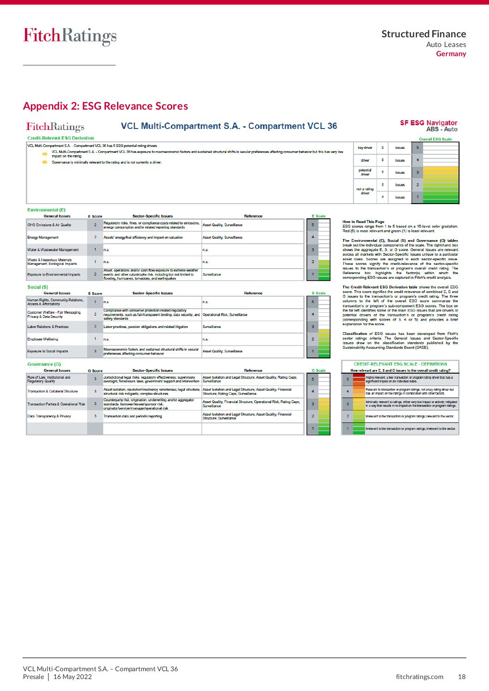## <span id="page-17-0"></span>**Appendix 2: ESG Relevance Scores**

VCL Multi-Compartment S.A. - Compartment VCL 36 has exposure to m<br>impact on the rating.

 $\Box$  Governance is minimally relevant to the rating and is not currently a driver.

## FitchRatings

## **VCL Multi-Compartment S.A. - Compartment VCL 36**

#### **Credit-Relevant ESG Derivation**

VCL Multi-Compartment S.A. - Compartment VCL 36 has 5 ESG potential rating drivers

nie foators and sustained structural shifts in secular neder

#### SF ESG Navigator<br>ABS - Auto erall ESG Scale key driver  $\pmb{\mathsf{o}}$ issues  $\overline{\mathbf{5}}$  $\bullet$  $\overline{4}$ driver issues potential<br>driver  $\overline{3}$  $\overline{\mathbf{5}}$ issues

 $\overline{2}$ 

 $\mathbf{r}$ 

#### Emironmental (E)

| ынта онын боюн ты                                             |                |                                                                                                                                                                                       |                                    |  |                |
|---------------------------------------------------------------|----------------|---------------------------------------------------------------------------------------------------------------------------------------------------------------------------------------|------------------------------------|--|----------------|
| <b>General Issues</b>                                         | <b>E</b> Score | <b>Sector-Specific Issues</b>                                                                                                                                                         | <b>Reference</b>                   |  | <b>E</b> Scale |
| <b>GHG Emissions &amp; Air Quality</b>                        | $\sim$         | Regulatory risks, fines, or compliance costs related to emissions,<br>energy consumption and/or related reporting standards                                                           | <b>Asset Quality: Surveillance</b> |  |                |
| <b>Energy Management</b>                                      | $\overline{2}$ | Assets' energy/fuel efficiency and impact on valuation                                                                                                                                | <b>Asset Quality: Surveillance</b> |  |                |
| Water & Wastewater Management                                 |                | n.a.                                                                                                                                                                                  | n.a.                               |  |                |
| Waste & Hazardous Materials<br>Management: Ecological Impacts |                | n.a.                                                                                                                                                                                  | n.a.                               |  |                |
| <b>Exposure to Environmental Impacts</b>                      |                | Asset, operations and/or cash flow exposure to extreme weather<br>events and other catastrophe risk, including but not limited to<br>flooding, hurricanes, tornadoes, and earthquakes | Surveillance                       |  |                |

#### Social (S)

| <b>General Issues</b>                                                   | <b>S</b> Score          | <b>Sector-Specific Issues</b>                                                                                                                                                   | <b>Reference</b>                   |   | <b>S</b> Scale |
|-------------------------------------------------------------------------|-------------------------|---------------------------------------------------------------------------------------------------------------------------------------------------------------------------------|------------------------------------|---|----------------|
| Human Rights, Community Relations,<br><b>Access &amp; Affordability</b> |                         | n.a.                                                                                                                                                                            | n.a.                               | 5 |                |
| Customer Welfare - Fair Messaging,<br>Privacy & Data Security           | $\overline{2}$          | Compliance with consumer protection related regulatory<br>requirements, such as fair/transparent lending, data security, and Operational Risk; Surveillance<br>safety standards |                                    |   |                |
| <b>Labor Relations &amp; Practices</b>                                  |                         | Labor practices, pension obligations and related litigation                                                                                                                     | Surveillance                       |   |                |
| <b>Employee Wellbeing</b>                                               |                         | n.a.                                                                                                                                                                            | n.a.                               |   |                |
| <b>Exposure to Social Impacts</b>                                       | $\overline{\mathbf{3}}$ | Macroeconomic factors and sustained structural shifts in secular<br>preferences affecting consumer behavior                                                                     | <b>Asset Quality: Surveillance</b> |   |                |

#### Governance (G)

| <b>General Issues</b>                                       | <b>G</b> Score | <b>Sector-Specific Issues</b>                                                                                                                              | <b>Reference</b>                                                                                      |   | <b>G</b> Scale |
|-------------------------------------------------------------|----------------|------------------------------------------------------------------------------------------------------------------------------------------------------------|-------------------------------------------------------------------------------------------------------|---|----------------|
| Rule of Law, Institutional and<br><b>Regulatory Quality</b> |                | Jurisdictional legal risks; regulatory effectiveness; supervisory<br>oversight; foreclosure laws; government support and intervention                      | Asset Isolation and Legal Structure: Asset Quality: Rating Caps:<br>Surveillance                      | 5 |                |
| <b>Transaction &amp; Collateral Structure</b>               |                | Asset isolation; resolution/insolvency remoteness; legal structure;<br>structural risk mitigants: complex structures                                       | Asset Isolation and Legal Structure; Asset Quality; Financial<br>Structure: Rating Caps: Surveillance |   |                |
| <b>Transaction Parties &amp; Operational Risk</b>           |                | Counterparty risk; origination, underwriting and/or aggregator<br>standards; borrower/lessee/sponsor risk;<br>originator/servicer/manager/operational risk | Asset Quality; Financial Structure; Operational Risk; Rating Caps;<br>Surveillance                    |   |                |
| Data Transparency & Privacy                                 | з              | Transaction data and periodic reporting                                                                                                                    | Asset Isolation and Legal Structure; Asset Quality; Financial<br>Structure: Surveillance              |   |                |
|                                                             |                |                                                                                                                                                            |                                                                                                       |   |                |

not a rating<br>driver

 $\overline{\phantom{a}}$ 

 $\overline{4}$ 

snees affecting consumer behavior but this has very low

How to Read This Page<br>ESG scores range from 1 to 5 based on a 15-level color gradation.<br>Red (5) is most relevant and green (1) is least relevant.

issues

iccues

The Environmental (E), Social (S) and Governance (G) tables<br>
The Environmental (E), Social (S) and Governance (G) tables<br>
break out the individual components of the scale. The right-hand box<br>
shows the agregate E, S, or G

The Credit-Relevant ESG Derivation table shows the overall ESG soore. This score signifies the credit relevance of combined E, S and G issues to the transaction's or program's credit rating. The three companies of columns

Classification of ESG issues has been developed from Fitch's<br>sector ratings criteria. The General Issues and Sector-Specific<br>Issues draw on the classification standards published by the<br>Sustainability Acoounting Standards

| <b>CREDIT-RELEVANT ESG SCALE - DEFINITIONS</b>                   |  |                                                                                                                                                          |  |  |  |
|------------------------------------------------------------------|--|----------------------------------------------------------------------------------------------------------------------------------------------------------|--|--|--|
| How relevant are E, S and G issues to the overall credit rating? |  |                                                                                                                                                          |  |  |  |
| 5                                                                |  | Highly relevant; a key transaction or program rating driver that has a<br>significant impact on an individual basis.                                     |  |  |  |
|                                                                  |  | Relevant to transaction or program ratings; not a key rating driver but<br>has an impact on the ratings in combination with other factors.               |  |  |  |
| я                                                                |  | Minimally relevant to ratings; either very low impact or actively mitigated<br>In a way that results in no impact on the transaction or program ratings. |  |  |  |
|                                                                  |  | Irrelevant to the transaction or program ratings; relevant to the sector.                                                                                |  |  |  |
|                                                                  |  | Irrelevant to the transaction or program ratings; irrelevant to the sector.                                                                              |  |  |  |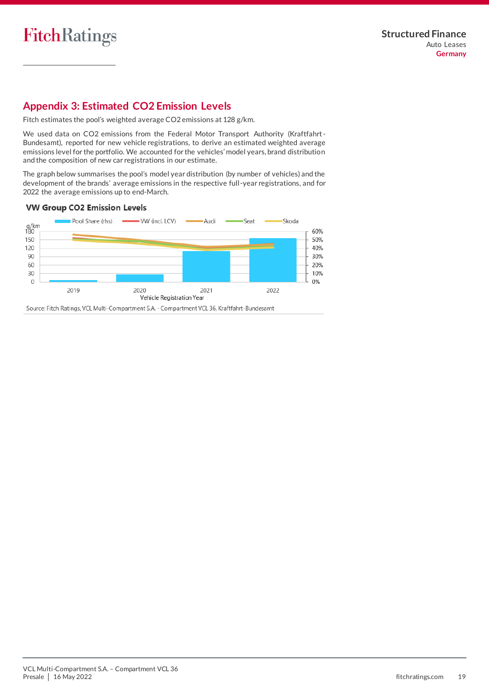## <span id="page-18-0"></span>**Appendix 3: Estimated CO2 Emission Levels**

Fitch estimates the pool's weighted average CO2 emissions at 128 g/km.

We used data on CO2 emissions from the Federal Motor Transport Authority (Kraftfahrt-Bundesamt), reported for new vehicle registrations, to derive an estimated weighted average emissions level for the portfolio. We accounted for the vehicles' model years, brand distribution and the composition of new car registrations in our estimate.

The graph below summarises the pool's model year distribution (by number of vehicles) and the development of the brands' average emissions in the respective full-year registrations, and for 2022 the average emissions up to end-March.

## **VW Group CO2 Emission Levels**



Source: Fitch Ratings, VCL Multi-Compartment S.A. - Compartment VCL 36, Kraftfahrt-Bundesamt